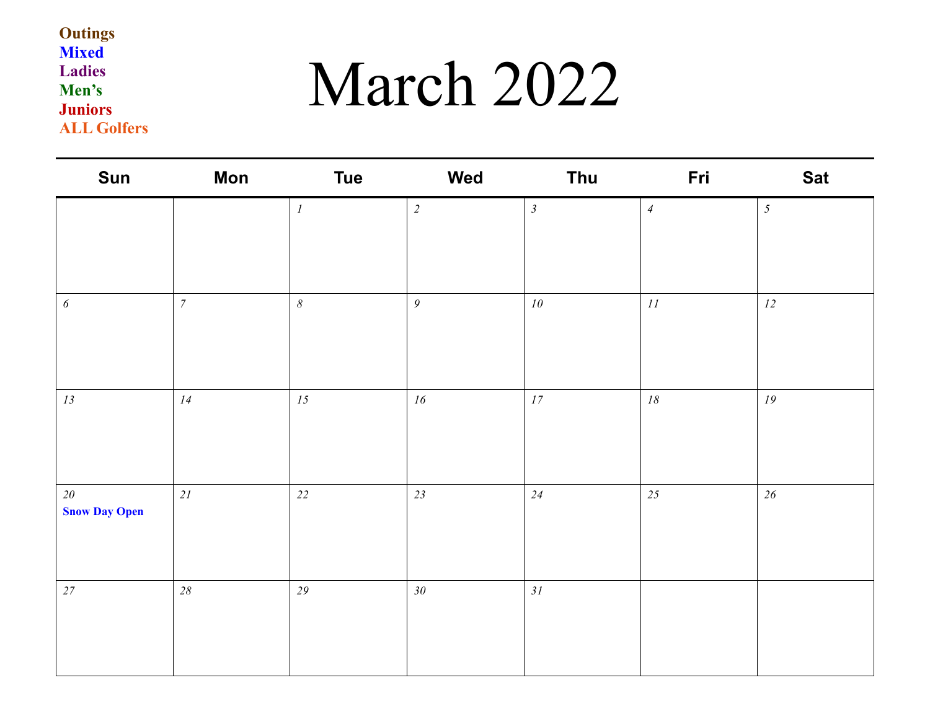### March 2022

| Sun                               | <b>Mon</b>     | <b>Tue</b>       | Wed           | Thu                            | Fri            | <b>Sat</b> |
|-----------------------------------|----------------|------------------|---------------|--------------------------------|----------------|------------|
|                                   |                | $\boldsymbol{l}$ | $\sqrt{2}$    | $\mathfrak{Z}$                 | $\overline{4}$ | $\sqrt{2}$ |
| $\boldsymbol{\delta}$             | $\overline{7}$ | $\delta$         | $\mathfrak g$ | ${\it 10}$                     | $\bar{H}$      | $12\,$     |
| $13\,$                            | 14             | 15               | ${\it 16}$    | $\ensuremath{\mathnormal{17}}$ | $18\,$         | ${\it 19}$ |
| $2\theta$<br><b>Snow Day Open</b> | 21             | $22\,$           | 23            | 24                             | 25             | $26\,$     |
| $27\,$                            | $28\,$         | 29               | $30\,$        | 31                             |                |            |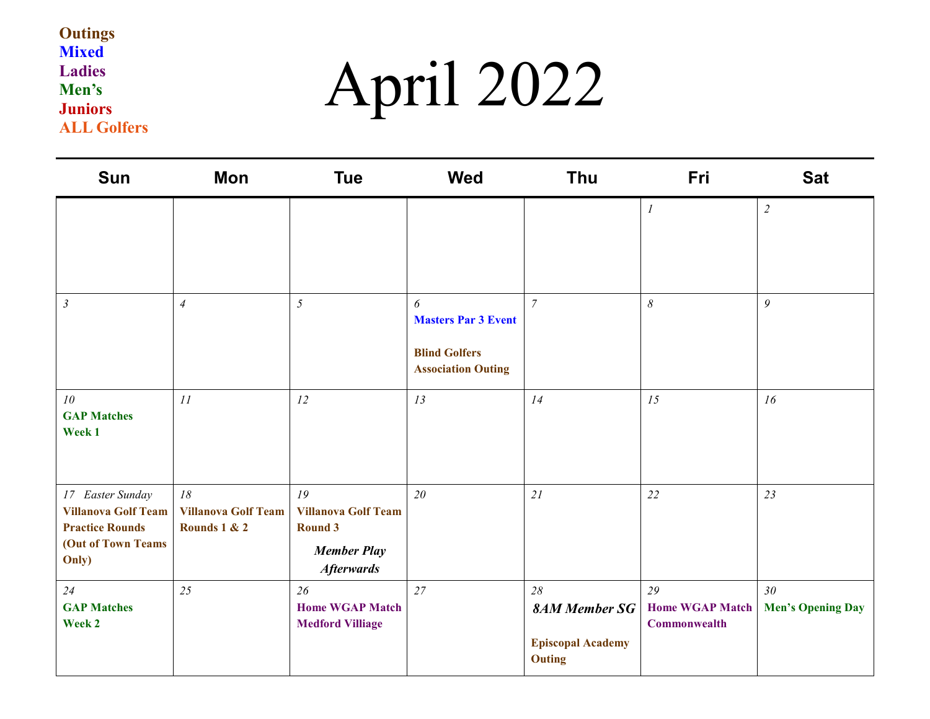# April 2022

| <b>Sun</b>                                                                                              | Mon                                              | <b>Tue</b>                                                                                    | <b>Wed</b>                                                                           | Thu                                                              | Fri                                          | <b>Sat</b>                                  |
|---------------------------------------------------------------------------------------------------------|--------------------------------------------------|-----------------------------------------------------------------------------------------------|--------------------------------------------------------------------------------------|------------------------------------------------------------------|----------------------------------------------|---------------------------------------------|
|                                                                                                         |                                                  |                                                                                               |                                                                                      |                                                                  | $\boldsymbol{l}$                             | $\overline{2}$                              |
| $\mathfrak{Z}$                                                                                          | $\overline{4}$                                   | 5                                                                                             | 6<br><b>Masters Par 3 Event</b><br><b>Blind Golfers</b><br><b>Association Outing</b> | $\overline{7}$                                                   | $\delta$                                     | $\mathfrak g$                               |
| 10<br><b>GAP Matches</b><br>Week 1                                                                      | II                                               | 12                                                                                            | 13                                                                                   | 14                                                               | 15                                           | 16                                          |
| 17 Easter Sunday<br><b>Villanova Golf Team</b><br><b>Practice Rounds</b><br>(Out of Town Teams<br>Only) | 18<br><b>Villanova Golf Team</b><br>Rounds 1 & 2 | 19<br><b>Villanova Golf Team</b><br><b>Round 3</b><br><b>Member Play</b><br><b>Afterwards</b> | 20                                                                                   | 21                                                               | 22                                           | 23                                          |
| 24<br><b>GAP Matches</b><br>Week 2                                                                      | 25                                               | 26<br><b>Home WGAP Match</b><br><b>Medford Villiage</b>                                       | 27                                                                                   | 28<br><b>8AM Member SG</b><br><b>Episcopal Academy</b><br>Outing | 29<br><b>Home WGAP Match</b><br>Commonwealth | 30 <sub>o</sub><br><b>Men's Opening Day</b> |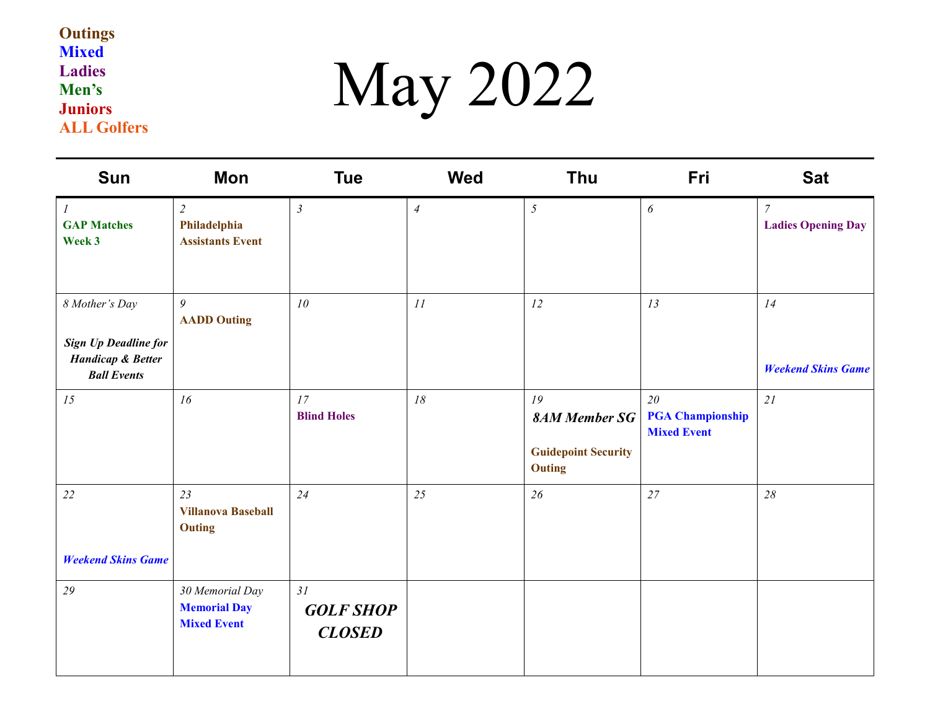# May 2022

| <b>Sun</b>                                                                        | <b>Mon</b>                                                   | <b>Tue</b>                              | <b>Wed</b>     | <b>Thu</b>                                                         | Fri                                                 | <b>Sat</b>                                  |
|-----------------------------------------------------------------------------------|--------------------------------------------------------------|-----------------------------------------|----------------|--------------------------------------------------------------------|-----------------------------------------------------|---------------------------------------------|
| $\boldsymbol{l}$<br><b>GAP Matches</b><br>Week 3                                  | $\overline{c}$<br>Philadelphia<br><b>Assistants Event</b>    | $\mathfrak{Z}$                          | $\overline{4}$ | $\mathfrak{H}$                                                     | $\boldsymbol{\delta}$                               | $\overline{7}$<br><b>Ladies Opening Day</b> |
| 8 Mother's Day                                                                    | $\mathfrak g$<br><b>AADD Outing</b>                          | 10                                      | 11             | 12                                                                 | 13                                                  | 14                                          |
| <b>Sign Up Deadline for</b><br><b>Handicap &amp; Better</b><br><b>Ball Events</b> |                                                              |                                         |                |                                                                    |                                                     | <b>Weekend Skins Game</b>                   |
| 15                                                                                | 16                                                           | 17<br><b>Blind Holes</b>                | 18             | 19<br><b>8AM Member SG</b><br><b>Guidepoint Security</b><br>Outing | 20<br><b>PGA Championship</b><br><b>Mixed Event</b> | 21                                          |
| 22                                                                                | 23<br><b>Villanova Baseball</b><br><b>Outing</b>             | 24                                      | 25             | 26                                                                 | 27                                                  | 28                                          |
| <b>Weekend Skins Game</b>                                                         |                                                              |                                         |                |                                                                    |                                                     |                                             |
| 29                                                                                | 30 Memorial Day<br><b>Memorial Day</b><br><b>Mixed Event</b> | 31<br><b>GOLF SHOP</b><br><b>CLOSED</b> |                |                                                                    |                                                     |                                             |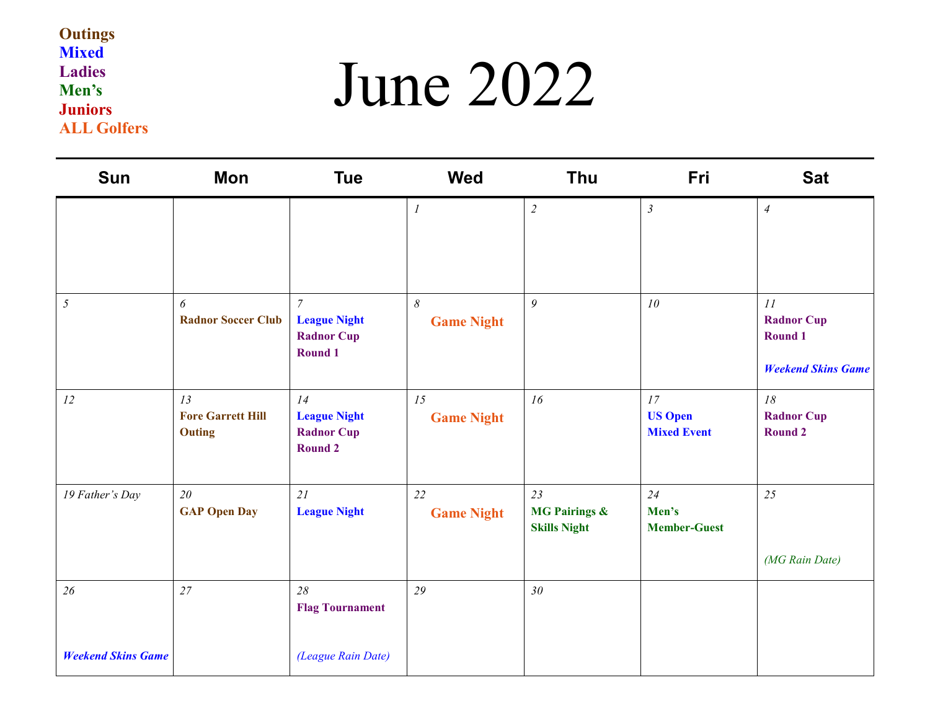### June 2022

| <b>Sun</b>                | Mon                                             | <b>Tue</b>                                                            | <b>Wed</b>                                 | <b>Thu</b>                                            | Fri                                        | <b>Sat</b>                                                             |
|---------------------------|-------------------------------------------------|-----------------------------------------------------------------------|--------------------------------------------|-------------------------------------------------------|--------------------------------------------|------------------------------------------------------------------------|
|                           |                                                 |                                                                       | $\boldsymbol{l}$                           | $\overline{2}$                                        | $\mathfrak{Z}$                             | $\overline{4}$                                                         |
| $\mathfrak{I}$            | 6<br><b>Radnor Soccer Club</b>                  | $\overline{7}$<br><b>League Night</b><br><b>Radnor Cup</b><br>Round 1 | $\boldsymbol{\delta}$<br><b>Game Night</b> | $\mathfrak g$                                         | 10                                         | 11<br><b>Radnor Cup</b><br><b>Round 1</b><br><b>Weekend Skins Game</b> |
| 12                        | 13<br><b>Fore Garrett Hill</b><br><b>Outing</b> | 14<br><b>League Night</b><br><b>Radnor Cup</b><br>Round 2             | 15<br><b>Game Night</b>                    | 16                                                    | 17<br><b>US Open</b><br><b>Mixed Event</b> | 18<br><b>Radnor Cup</b><br>Round 2                                     |
| 19 Father's Day           | 20<br><b>GAP Open Day</b>                       | 21<br><b>League Night</b>                                             | 22<br><b>Game Night</b>                    | 23<br><b>MG Pairings &amp;</b><br><b>Skills Night</b> | 24<br>Men's<br><b>Member-Guest</b>         | 25<br>(MG Rain Date)                                                   |
| 26                        | 27                                              | 28<br><b>Flag Tournament</b>                                          | 29                                         | 30 <sub>o</sub>                                       |                                            |                                                                        |
| <b>Weekend Skins Game</b> |                                                 | (League Rain Date)                                                    |                                            |                                                       |                                            |                                                                        |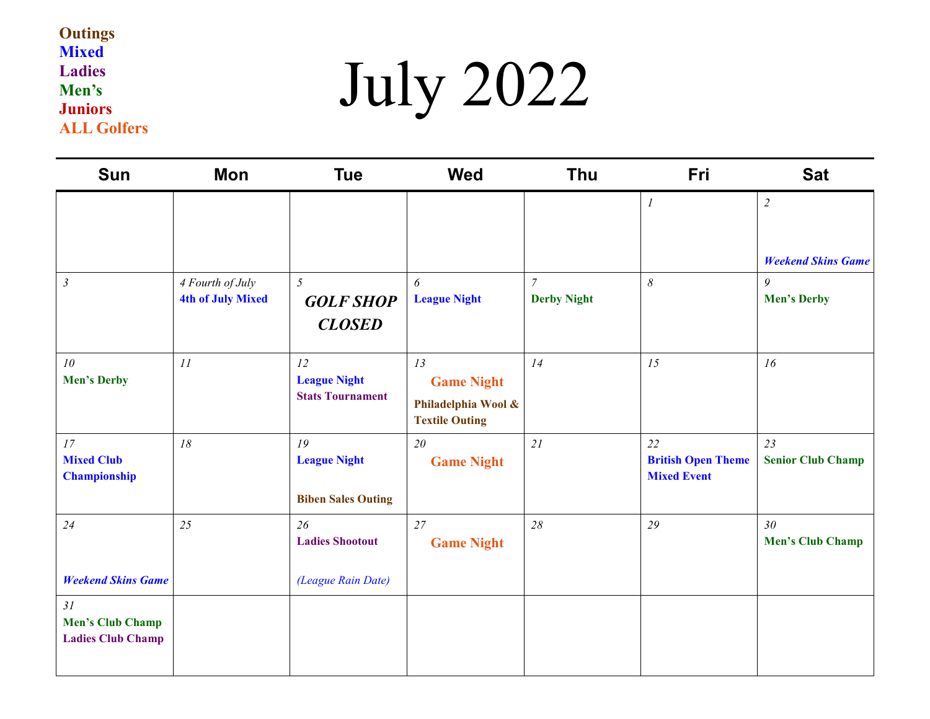# July 2022

| <b>Sun</b>                                                | Mon                                          | <b>Tue</b>                                             | <b>Wed</b>                                                              | <b>Thu</b>                           | Fri                                                   | <b>Sat</b>                                  |
|-----------------------------------------------------------|----------------------------------------------|--------------------------------------------------------|-------------------------------------------------------------------------|--------------------------------------|-------------------------------------------------------|---------------------------------------------|
|                                                           |                                              |                                                        |                                                                         |                                      | $\mathfrak{I}$                                        | $\overline{2}$<br><b>Weekend Skins Game</b> |
| $\mathfrak{Z}$                                            | 4 Fourth of July<br><b>4th of July Mixed</b> | $\mathfrak{H}$<br><b>GOLF SHOP</b><br><b>CLOSED</b>    | 6<br><b>League Night</b>                                                | $\overline{7}$<br><b>Derby Night</b> | $\delta$                                              | 9<br><b>Men's Derby</b>                     |
| 10<br><b>Men's Derby</b>                                  | II                                           | 12<br><b>League Night</b><br><b>Stats Tournament</b>   | 13<br><b>Game Night</b><br>Philadelphia Wool &<br><b>Textile Outing</b> | 14                                   | 15                                                    | 16                                          |
| 17<br><b>Mixed Club</b><br><b>Championship</b>            | 18                                           | 19<br><b>League Night</b><br><b>Biben Sales Outing</b> | 20<br><b>Game Night</b>                                                 | 21                                   | 22<br><b>British Open Theme</b><br><b>Mixed Event</b> | 23<br><b>Senior Club Champ</b>              |
| 24                                                        | 25                                           | 26<br><b>Ladies Shootout</b>                           | 27<br><b>Game Night</b>                                                 | 28                                   | 29                                                    | 30 <sup>°</sup><br><b>Men's Club Champ</b>  |
| <b>Weekend Skins Game</b>                                 |                                              | (League Rain Date)                                     |                                                                         |                                      |                                                       |                                             |
| 31<br><b>Men's Club Champ</b><br><b>Ladies Club Champ</b> |                                              |                                                        |                                                                         |                                      |                                                       |                                             |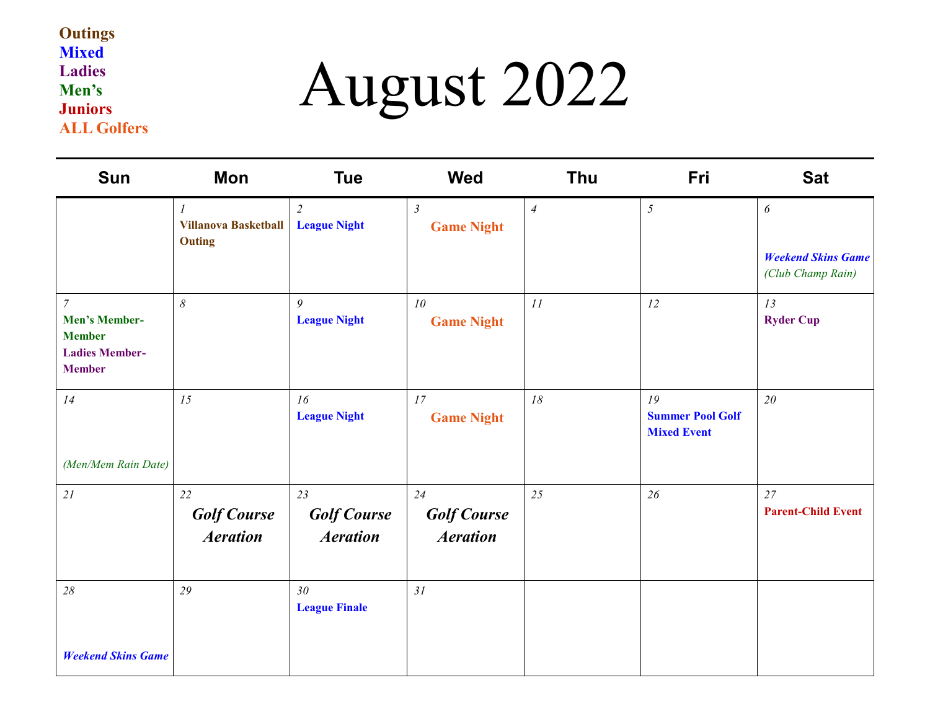## August 2022

| <b>Sun</b>                                                                                        | Mon                                          | <b>Tue</b>                                  | Wed                                         | Thu            | Fri                                                 | <b>Sat</b>                                     |
|---------------------------------------------------------------------------------------------------|----------------------------------------------|---------------------------------------------|---------------------------------------------|----------------|-----------------------------------------------------|------------------------------------------------|
|                                                                                                   | <b>Villanova Basketball</b><br><b>Outing</b> | $\overline{2}$<br><b>League Night</b>       | $\mathfrak{Z}$<br><b>Game Night</b>         | $\overline{4}$ | $\sqrt{2}$                                          | $\boldsymbol{\delta}$                          |
|                                                                                                   |                                              |                                             |                                             |                |                                                     | <b>Weekend Skins Game</b><br>(Club Champ Rain) |
| $\overline{7}$<br><b>Men's Member-</b><br><b>Member</b><br><b>Ladies Member-</b><br><b>Member</b> | $\delta$                                     | 9<br><b>League Night</b>                    | 10<br><b>Game Night</b>                     | 11             | 12                                                  | 13<br><b>Ryder Cup</b>                         |
| 14                                                                                                | 15                                           | 16<br><b>League Night</b>                   | 17<br><b>Game Night</b>                     | 18             | 19<br><b>Summer Pool Golf</b><br><b>Mixed Event</b> | 20                                             |
| (Men/Mem Rain Date)                                                                               |                                              |                                             |                                             |                |                                                     |                                                |
| 21                                                                                                | 22<br><b>Golf Course</b><br><b>Aeration</b>  | 23<br><b>Golf Course</b><br><b>Aeration</b> | 24<br><b>Golf Course</b><br><b>Aeration</b> | 25             | 26                                                  | 27<br><b>Parent-Child Event</b>                |
| $28\,$                                                                                            | 29                                           | 30 <sup>°</sup><br><b>League Finale</b>     | 31                                          |                |                                                     |                                                |
| <b>Weekend Skins Game</b>                                                                         |                                              |                                             |                                             |                |                                                     |                                                |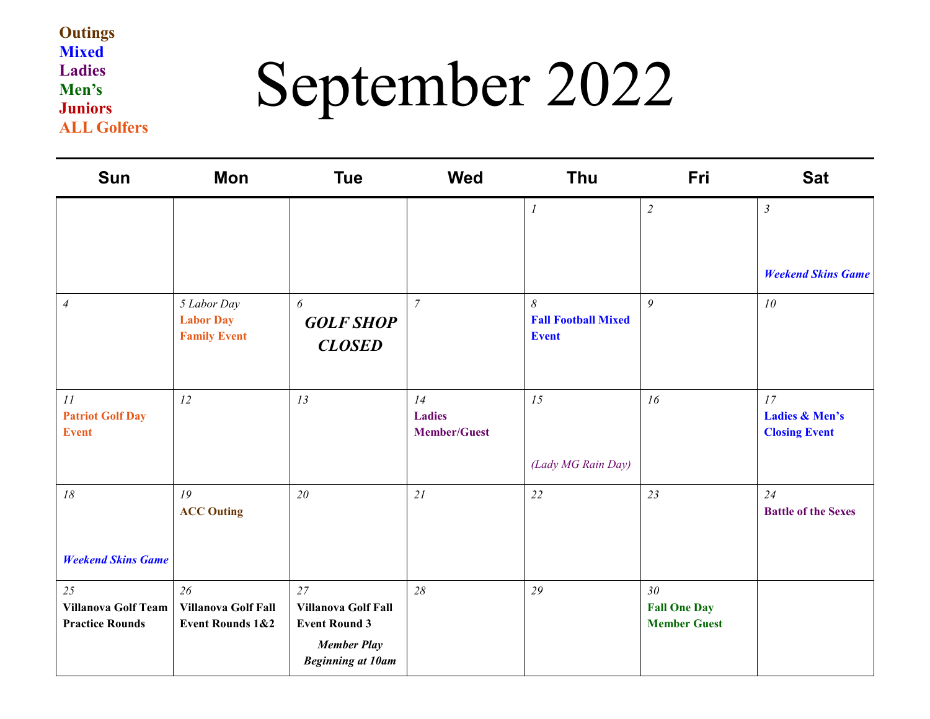## September 2022

| <b>Sun</b>                                                 | Mon                                                      | <b>Tue</b>                                                                                                 | <b>Wed</b>                                 | Thu                                             | Fri                                                           | <b>Sat</b>                                              |
|------------------------------------------------------------|----------------------------------------------------------|------------------------------------------------------------------------------------------------------------|--------------------------------------------|-------------------------------------------------|---------------------------------------------------------------|---------------------------------------------------------|
|                                                            |                                                          |                                                                                                            |                                            | $\boldsymbol{l}$                                | $\sqrt{2}$                                                    | $\mathfrak{Z}$<br><b>Weekend Skins Game</b>             |
| $\overline{4}$                                             | 5 Labor Day<br><b>Labor Day</b><br><b>Family Event</b>   | 6<br><b>GOLF SHOP</b><br><b>CLOSED</b>                                                                     | $\overline{7}$                             | 8<br><b>Fall Football Mixed</b><br><b>Event</b> | 9                                                             | 10                                                      |
| II<br><b>Patriot Golf Day</b><br><b>Event</b>              | 12                                                       | 13                                                                                                         | 14<br><b>Ladies</b><br><b>Member/Guest</b> | 15<br>(Lady MG Rain Day)                        | 16                                                            | 17<br><b>Ladies &amp; Men's</b><br><b>Closing Event</b> |
| $18$<br><b>Weekend Skins Game</b>                          | 19<br><b>ACC Outing</b>                                  | 20                                                                                                         | 21                                         | 22                                              | 23                                                            | 24<br><b>Battle of the Sexes</b>                        |
| 25<br><b>Villanova Golf Team</b><br><b>Practice Rounds</b> | 26<br>Villanova Golf Fall<br><b>Event Rounds 1&amp;2</b> | 27<br><b>Villanova Golf Fall</b><br><b>Event Round 3</b><br><b>Member Play</b><br><b>Beginning at 10am</b> | 28                                         | 29                                              | 30 <sub>2</sub><br><b>Fall One Day</b><br><b>Member Guest</b> |                                                         |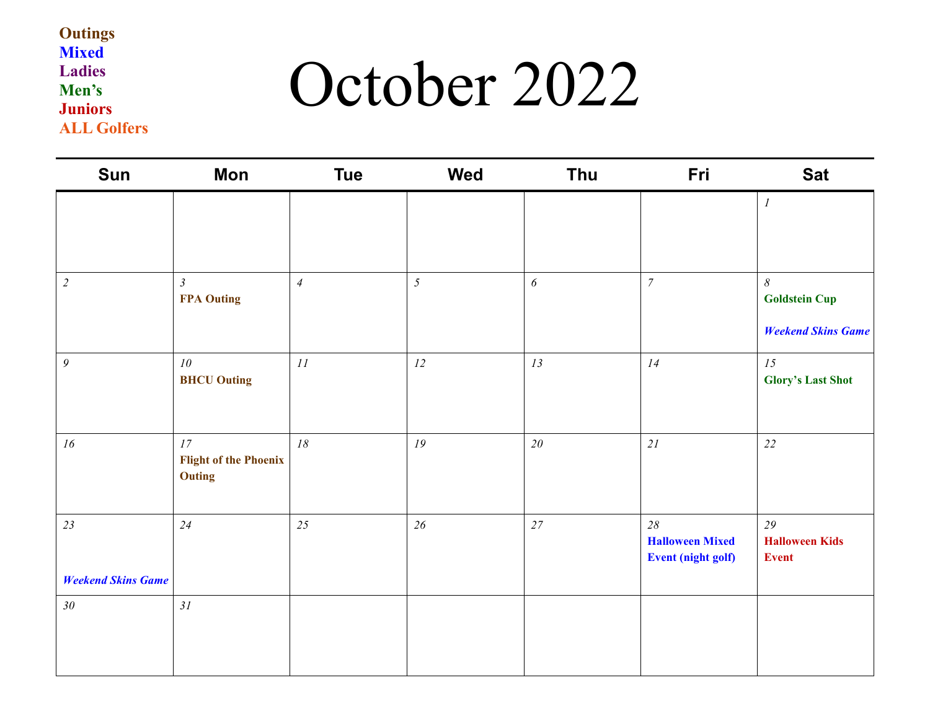### October 2022

| Sun                       | Mon                                                 | <b>Tue</b>     | <b>Wed</b>     | Thu                   | Fri                                                       | <b>Sat</b>                                                                 |
|---------------------------|-----------------------------------------------------|----------------|----------------|-----------------------|-----------------------------------------------------------|----------------------------------------------------------------------------|
|                           |                                                     |                |                |                       |                                                           | $\boldsymbol{l}$                                                           |
| $\overline{c}$            | $\mathfrak{Z}$<br><b>FPA Outing</b>                 | $\overline{4}$ | $\overline{5}$ | $\boldsymbol{\delta}$ | $\boldsymbol{7}$                                          | $\boldsymbol{\delta}$<br><b>Goldstein Cup</b><br><b>Weekend Skins Game</b> |
| $\mathfrak{g}$            | 10 <sup>°</sup><br><b>BHCU Outing</b>               | $\cal{H}$      | 12             | 13                    | 14                                                        | 15<br><b>Glory's Last Shot</b>                                             |
| 16                        | 17<br><b>Flight of the Phoenix</b><br><b>Outing</b> | $18$           | 19             | $20\,$                | 21                                                        | 22                                                                         |
| 23                        | 24                                                  | 25             | 26             | 27                    | 28<br><b>Halloween Mixed</b><br><b>Event (night golf)</b> | 29<br><b>Halloween Kids</b><br><b>Event</b>                                |
| <b>Weekend Skins Game</b> |                                                     |                |                |                       |                                                           |                                                                            |
| $30\,$                    | 31                                                  |                |                |                       |                                                           |                                                                            |